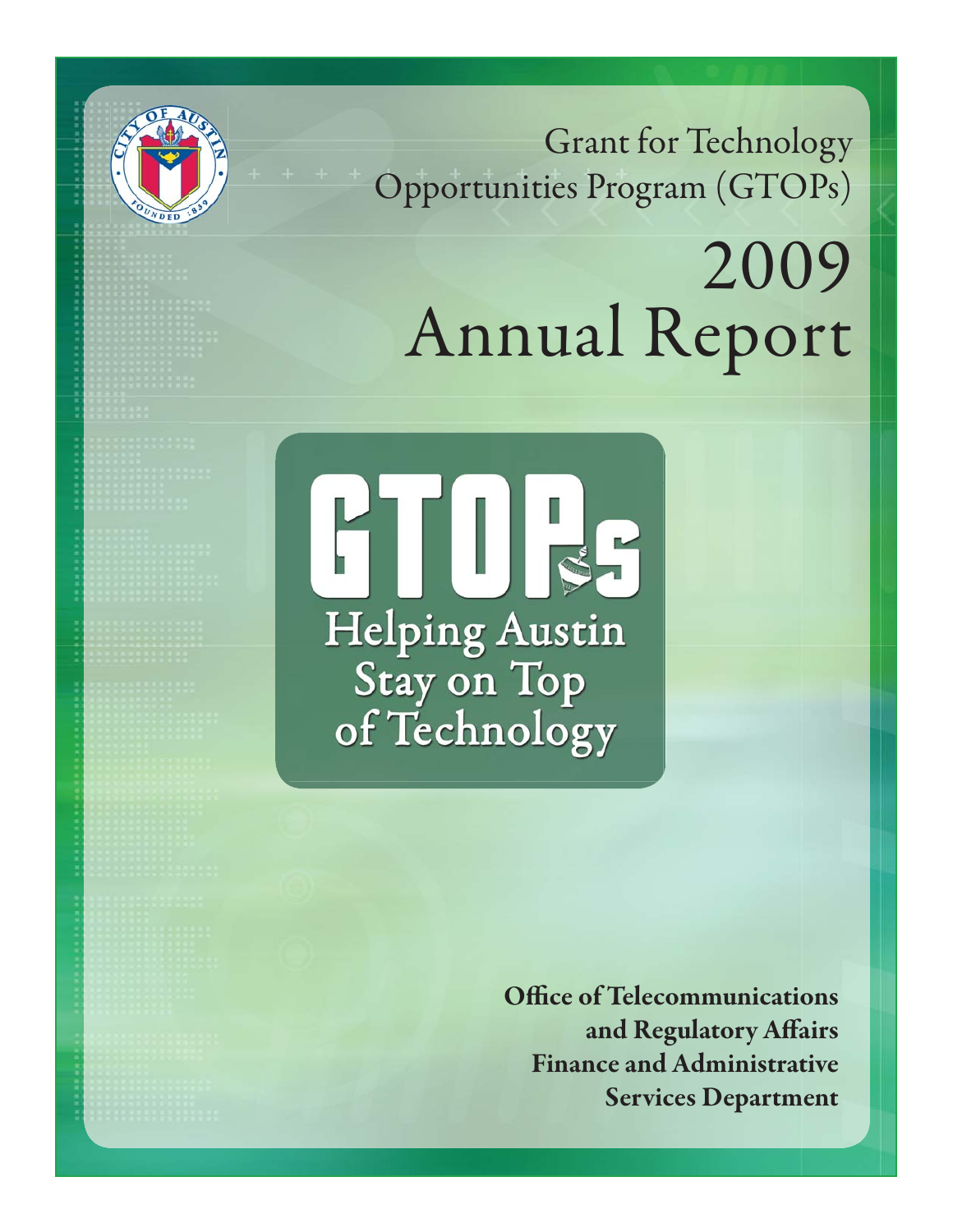Grant for Technology Opportunities Program (GTOPs)

# 2009 Annual Report



**Office of Telecommunications** and Regulatory Affairs **Finance and Administrative Services Department**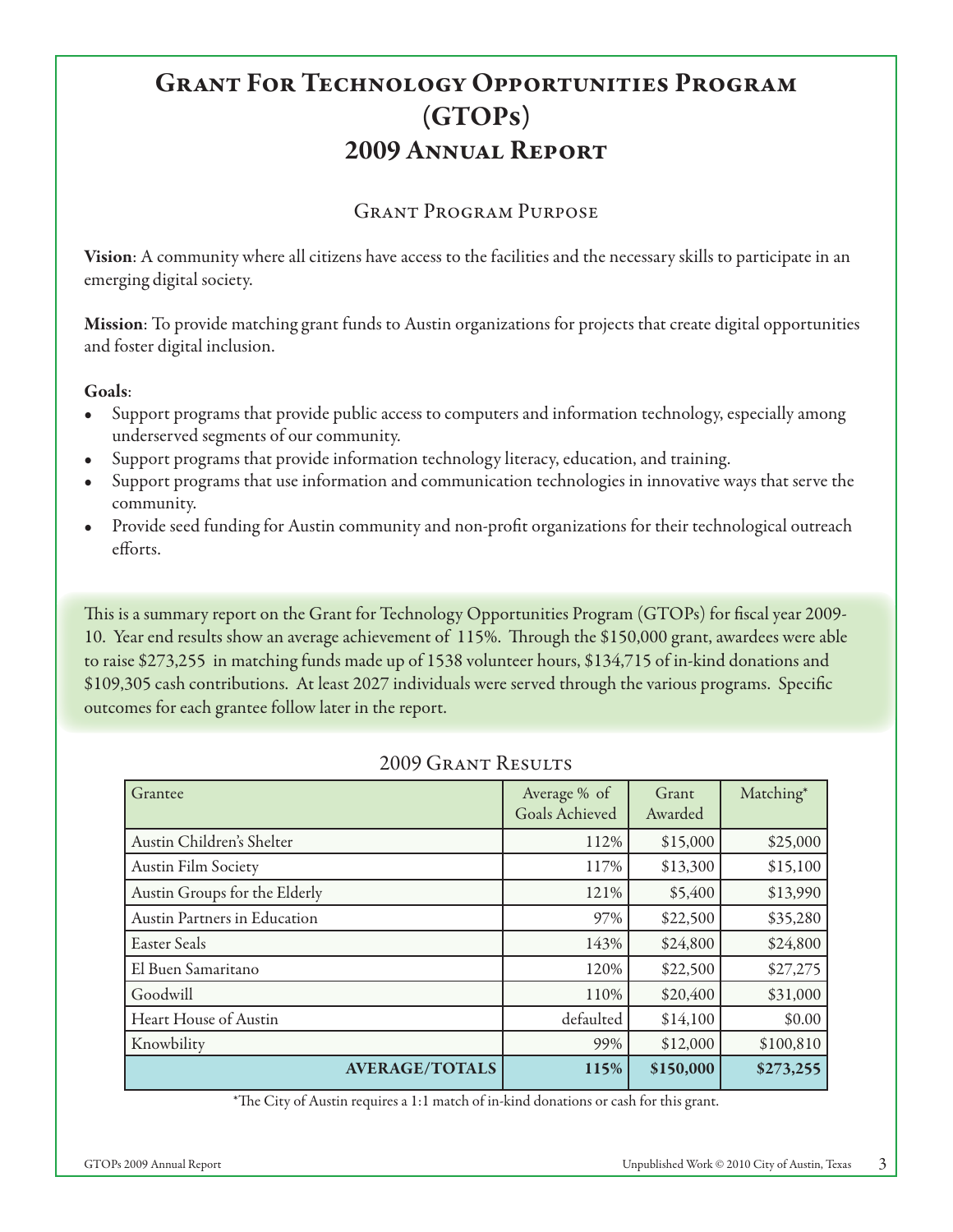# **Grant For Technology Opportunities Program (GTOPs) 2009 Annual Report**

#### Grant Program Purpose

**Vision**: A community where all citizens have access to the facilities and the necessary skills to participate in an emerging digital society.

**Mission**: To provide matching grant funds to Austin organizations for projects that create digital opportunities and foster digital inclusion.

#### **Goals**:

- Support programs that provide public access to computers and information technology, especially among underserved segments of our community. •
- Support programs that provide information technology literacy, education, and training. •
- Support programs that use information and communication technologies in innovative ways that serve the community. •
- Provide seed funding for Austin community and non-profi t organizations for their technological outreach efforts. •

This is a summary report on the Grant for Technology Opportunities Program (GTOPs) for fiscal year 2009-10. Year end results show an average achievement of 115%. Through the \$150,000 grant, awardees were able to raise \$273,255 in matching funds made up of 1538 volunteer hours, \$134,715 of in-kind donations and \$109,305 cash contributions. At least 2027 individuals were served through the various programs. Specific outcomes for each grantee follow later in the report.

| Grantee                       | Average % of<br>Goals Achieved | Grant<br>Awarded | Matching* |
|-------------------------------|--------------------------------|------------------|-----------|
| Austin Children's Shelter     | 112%                           | \$15,000         | \$25,000  |
| <b>Austin Film Society</b>    | 117%                           | \$13,300         | \$15,100  |
| Austin Groups for the Elderly | 121%                           | \$5,400          | \$13,990  |
| Austin Partners in Education  | 97%                            | \$22,500         | \$35,280  |
| Easter Seals                  | 143%                           | \$24,800         | \$24,800  |
| El Buen Samaritano            | 120%                           | \$22,500         | \$27,275  |
| Goodwill                      | 110%                           | \$20,400         | \$31,000  |
| Heart House of Austin         | defaulted                      | \$14,100         | \$0.00    |
| Knowbility                    | 99%                            | \$12,000         | \$100,810 |
| <b>AVERAGE/TOTALS</b>         | 115%                           | \$150,000        | \$273,255 |

## 2009 Grant Results

\*The City of Austin requires a 1:1 match of in-kind donations or cash for this grant.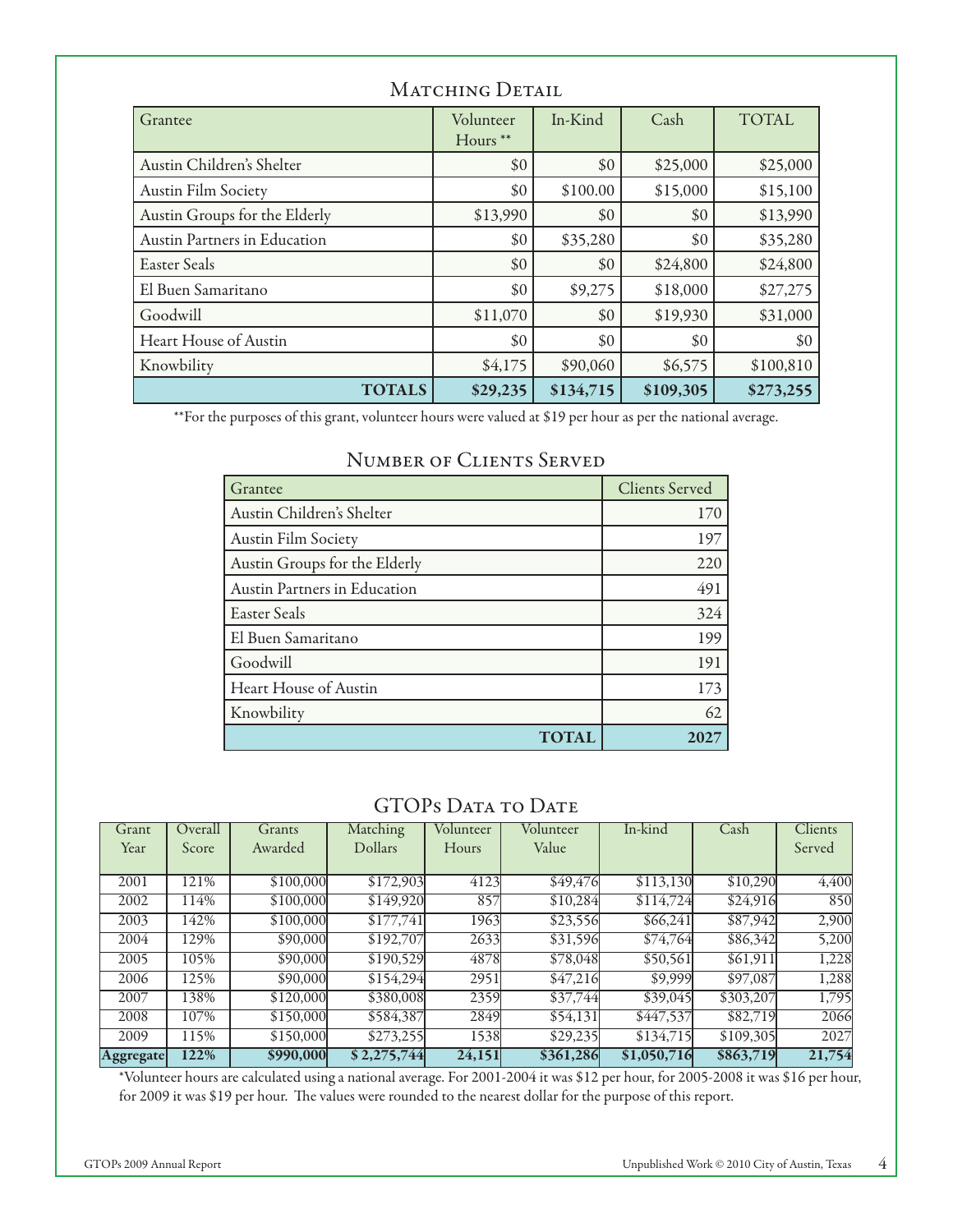| Grantee                       | Volunteer<br>Hours <sup>**</sup> | In-Kind   | Cash      | <b>TOTAL</b> |
|-------------------------------|----------------------------------|-----------|-----------|--------------|
| Austin Children's Shelter     | \$0                              | \$0       | \$25,000  | \$25,000     |
| <b>Austin Film Society</b>    | \$0                              | \$100.00  | \$15,000  | \$15,100     |
| Austin Groups for the Elderly | \$13,990                         | \$0       | \$0       | \$13,990     |
| Austin Partners in Education  | \$0                              | \$35,280  | \$0       | \$35,280     |
| Easter Seals                  | \$0                              | \$0       | \$24,800  | \$24,800     |
| El Buen Samaritano            | \$0                              | \$9,275   | \$18,000  | \$27,275     |
| Goodwill                      | \$11,070                         | \$0       | \$19,930  | \$31,000     |
| Heart House of Austin         | \$0                              | \$0       | \$0       | \$0          |
| Knowbility                    | \$4,175                          | \$90,060  | \$6,575   | \$100,810    |
| <b>TOTALS</b>                 | \$29,235                         | \$134,715 | \$109,305 | \$273,255    |

# MATCHING DETAIL

\*\*For the purposes of this grant, volunteer hours were valued at \$19 per hour as per the national average.

| Grantee                       | <b>Clients Served</b> |
|-------------------------------|-----------------------|
| Austin Children's Shelter     | 170                   |
| Austin Film Society           | 197                   |
| Austin Groups for the Elderly | 220                   |
| Austin Partners in Education  | 491                   |
| Easter Seals                  | 324                   |
| El Buen Samaritano            | 199                   |
| Goodwill                      | 191                   |
| Heart House of Austin         | 173                   |
| Knowbility                    | 62                    |
| <b>TOTAI</b>                  |                       |

#### Number of Clients Served

#### GTOPS DATA TO DATE

| Grant            | Overall | Grants    | Matching       | Volunteer | Volunteer | In-kind     | Cash      | Clients |
|------------------|---------|-----------|----------------|-----------|-----------|-------------|-----------|---------|
| Year             | Score   | Awarded   | <b>Dollars</b> | Hours     | Value     |             |           | Served  |
|                  |         |           |                |           |           |             |           |         |
| 2001             | 121%    | \$100,000 | \$172,903      | 4123      | \$49,476  | \$113,130   | \$10,290  | 4,400   |
| 2002             | 114%    | \$100,000 | \$149,920      | 857       | \$10,284  | \$114,724   | \$24,916  | 850     |
| 2003             | 142%    | \$100,000 | \$177,741      | 1963      | \$23,556  | \$66,241    | \$87,942  | 2,900   |
| 2004             | 129%    | \$90,000  | \$192,707      | 2633      | \$31,596  | \$74,764    | \$86,342  | 5,200   |
| 2005             | 105%    | \$90,000  | \$190,529      | 4878      | \$78,048  | \$50,561    | \$61,911  | 1,228   |
| 2006             | 125%    | \$90,000  | \$154,294      | 2951      | \$47,216  | \$9,999     | \$97,087  | 1,288   |
| 2007             | 138%    | \$120,000 | \$380,008      | 2359      | \$37,744  | \$39,045    | \$303,207 | 1,795   |
| 2008             | 107%    | \$150,000 | \$584,387      | 2849      | \$54,131  | \$447,537   | \$82,719  | 2066    |
| 2009             | 115%    | \$150,000 | \$273,255      | 1538      | \$29,235  | \$134,715   | \$109,305 | 2027    |
| <b>Aggregate</b> | 122%    | \$990,000 | \$2,275,744    | 24,151    | \$361,286 | \$1,050,716 | \$863,719 | 21,754  |

\*Volunteer hours are calculated using a national average. For 2001-2004 it was \$12 per hour, for 2005-2008 it was \$16 per hour, for 2009 it was \$19 per hour. The values were rounded to the nearest dollar for the purpose of this report.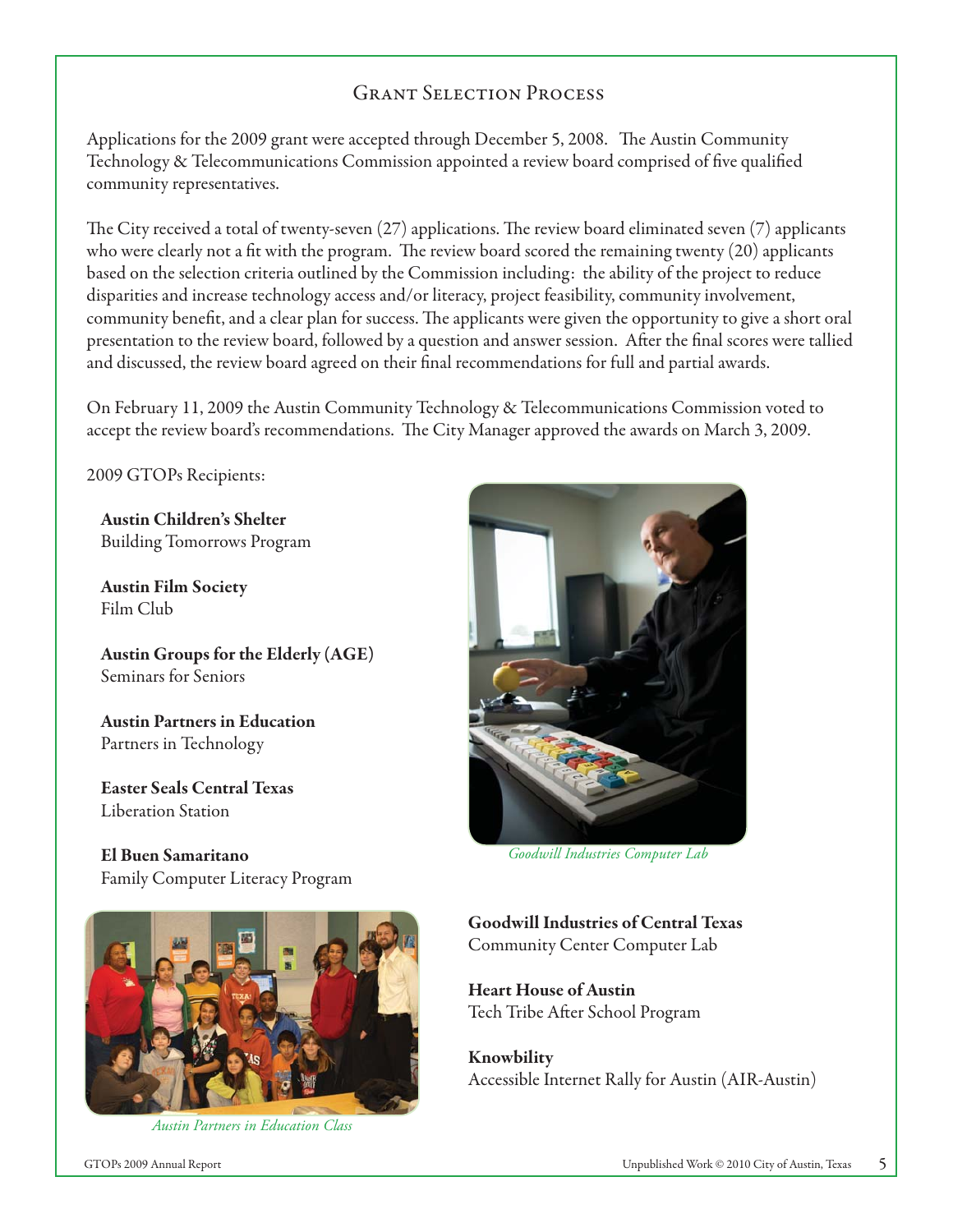# Grant Selection Process

Applications for the 2009 grant were accepted through December 5, 2008. The Austin Community Technology & Telecommunications Commission appointed a review board comprised of five qualified community representatives.

The City received a total of twenty-seven  $(27)$  applications. The review board eliminated seven  $(7)$  applicants who were clearly not a fit with the program. The review board scored the remaining twenty  $(20)$  applicants based on the selection criteria outlined by the Commission including: the ability of the project to reduce disparities and increase technology access and/or literacy, project feasibility, community involvement, community benefit, and a clear plan for success. The applicants were given the opportunity to give a short oral presentation to the review board, followed by a question and answer session. After the final scores were tallied and discussed, the review board agreed on their final recommendations for full and partial awards.

On February 11, 2009 the Austin Community Technology & Telecommunications Commission voted to accept the review board's recommendations. The City Manager approved the awards on March 3, 2009.

2009 GTOPs Recipients:

**Austin Children's Shelter** Building Tomorrows Program

**Austin Film Society** Film Club

**Austin Groups for the Elderly (AGE)** Seminars for Seniors

**Austin Partners in Education** Partners in Technology

**Easter Seals Central Texas** Liberation Station

**El Buen Samaritano** Family Computer Literacy Program



*Goodwill Industries Computer Lab*



*Austin Partners in Education Class*

**Goodwill Industries of Central Texas** Community Center Computer Lab

**Heart House of Austin** Tech Tribe After School Program

**Knowbility** Accessible Internet Rally for Austin (AIR-Austin)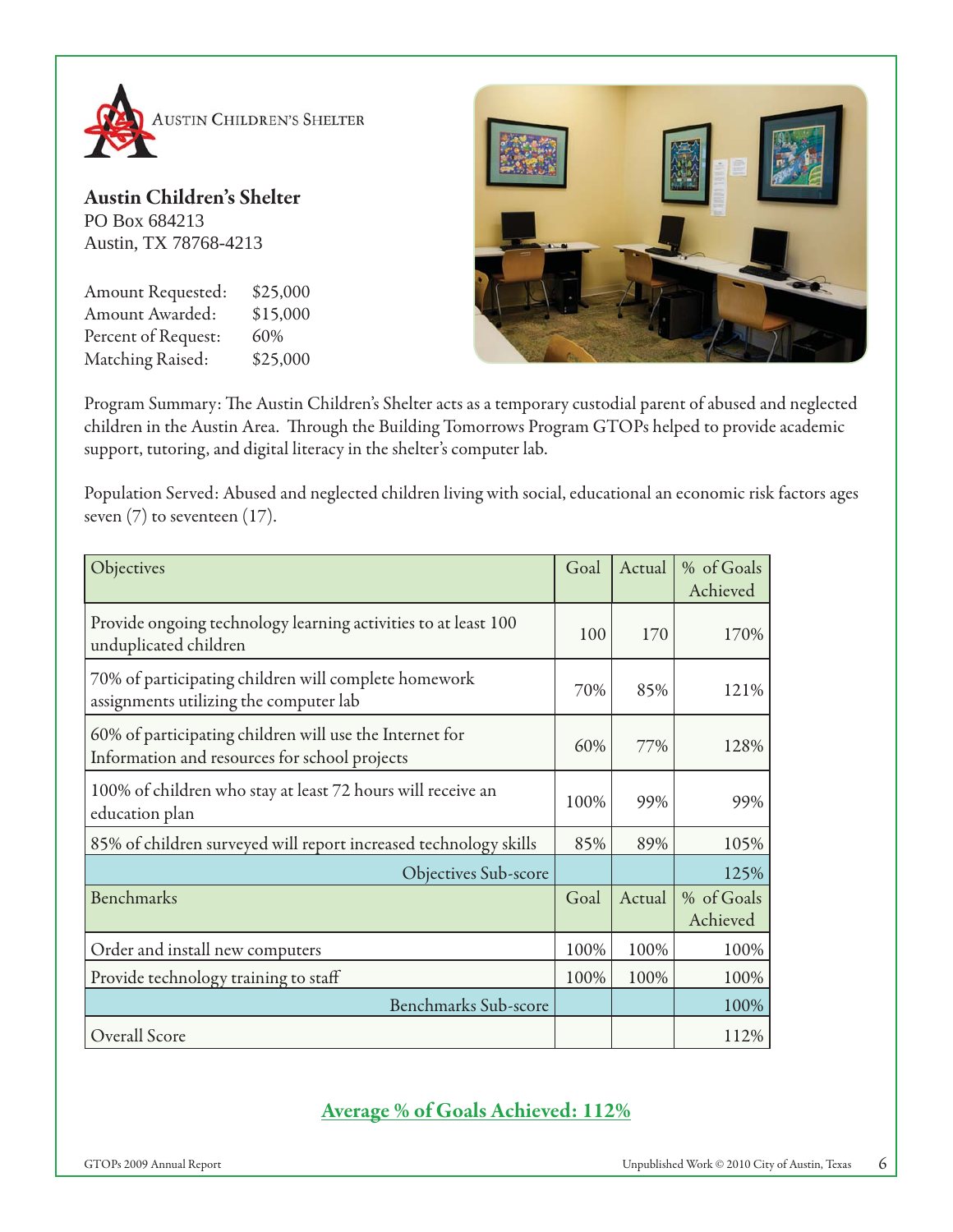

**Austin Children's Shelter** PO Box 684213 Austin, TX 78768-4213

Amount Requested: \$25,000 Amount Awarded: \$15,000 Percent of Request: 60% Matching Raised: \$25,000



Program Summary: The Austin Children's Shelter acts as a temporary custodial parent of abused and neglected children in the Austin Area. Through the Building Tomorrows Program GTOPs helped to provide academic support, tutoring, and digital literacy in the shelter's computer lab.

Population Served: Abused and neglected children living with social, educational an economic risk factors ages seven  $(7)$  to seventeen  $(17)$ .

| Objectives                                                                                               | Goal | Actual | % of Goals<br>Achieved |
|----------------------------------------------------------------------------------------------------------|------|--------|------------------------|
| Provide ongoing technology learning activities to at least 100<br>unduplicated children                  | 100  | 170    | 170%                   |
| 70% of participating children will complete homework<br>assignments utilizing the computer lab           | 70%  | 85%    | 121%                   |
| 60% of participating children will use the Internet for<br>Information and resources for school projects | 60%  | 77%    | 128%                   |
| 100% of children who stay at least 72 hours will receive an<br>education plan                            | 100% | 99%    | 99%                    |
| 85% of children surveyed will report increased technology skills                                         | 85%  | 89%    | 105%                   |
| Objectives Sub-score                                                                                     |      |        | 125%                   |
| Benchmarks                                                                                               | Goal | Actual | % of Goals<br>Achieved |
| Order and install new computers                                                                          | 100% | 100%   | 100%                   |
| Provide technology training to staff                                                                     | 100% | 100%   | 100%                   |
| <b>Benchmarks Sub-score</b>                                                                              |      |        | 100%                   |
| Overall Score                                                                                            |      |        | 112%                   |

# **Average % of Goals Achieved: 112%**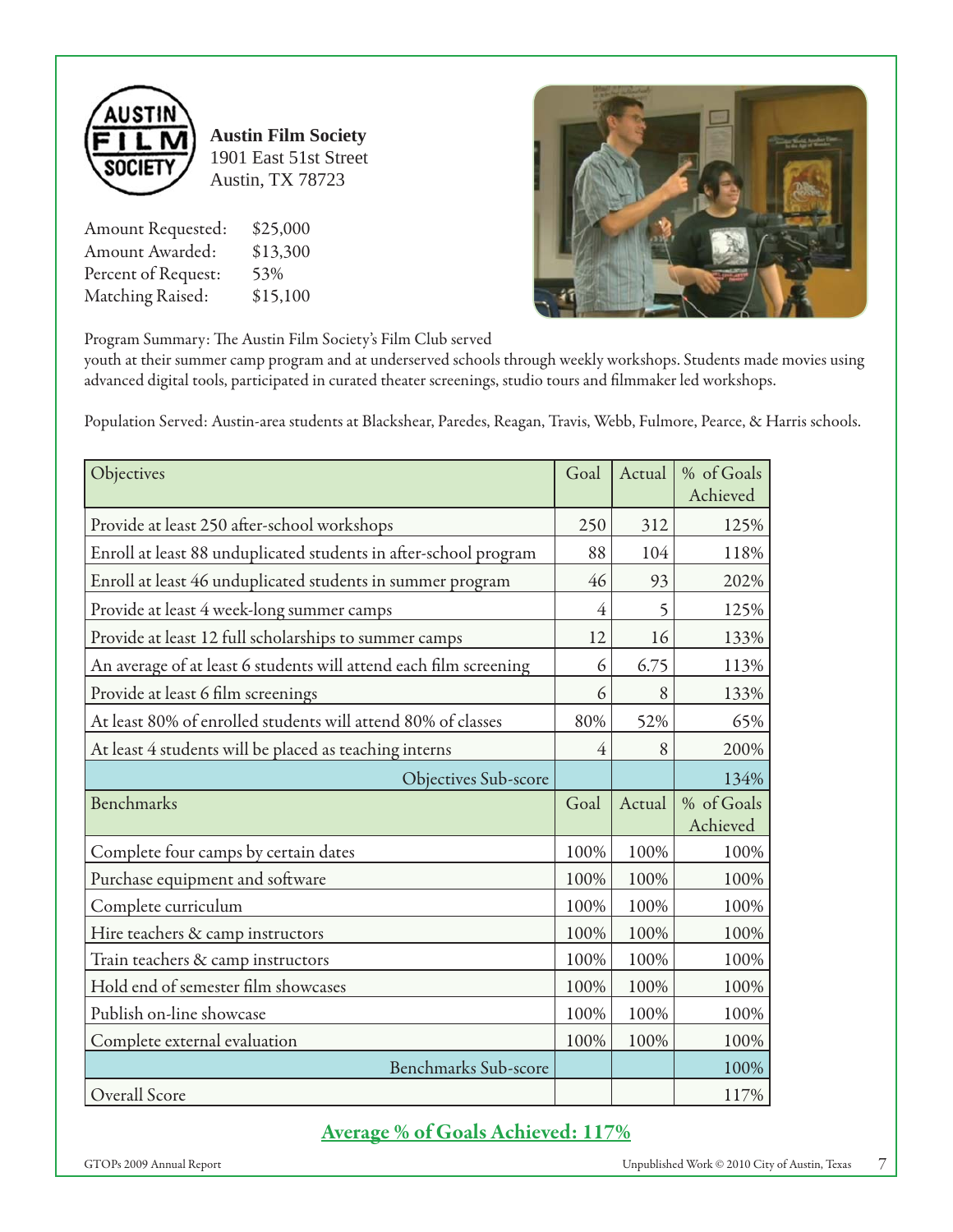

**Austin Film Society** 1901 East 51st Street Austin, TX 78723

Amount Requested: \$25,000 Amount Awarded: \$13,300 Percent of Request: 53% Matching Raised: \$15,100



Program Summary: The Austin Film Society's Film Club served

youth at their summer camp program and at underserved schools through weekly workshops. Students made movies using advanced digital tools, participated in curated theater screenings, studio tours and filmmaker led workshops.

Population Served: Austin-area students at Blackshear, Paredes, Reagan, Travis, Webb, Fulmore, Pearce, & Harris schools.

| Objectives                                                        | Goal           | Actual | % of Goals<br>Achieved |
|-------------------------------------------------------------------|----------------|--------|------------------------|
| Provide at least 250 after-school workshops                       | 250            | 312    | 125%                   |
| Enroll at least 88 unduplicated students in after-school program  | 88             | 104    | 118%                   |
| Enroll at least 46 unduplicated students in summer program        | 46             | 93     | 202%                   |
| Provide at least 4 week-long summer camps                         | $\overline{4}$ | 5      | 125%                   |
| Provide at least 12 full scholarships to summer camps             | 12             | 16     | 133%                   |
| An average of at least 6 students will attend each film screening | 6              | 6.75   | 113%                   |
| Provide at least 6 film screenings                                | 6              | 8      | 133%                   |
| At least 80% of enrolled students will attend 80% of classes      | 80%            | 52%    | 65%                    |
| At least 4 students will be placed as teaching interns            | 4              | 8      | 200%                   |
| <b>Objectives Sub-score</b>                                       |                |        | 134%                   |
| Benchmarks                                                        | Goal           | Actual | % of Goals<br>Achieved |
| Complete four camps by certain dates                              | 100%           | 100%   | 100%                   |
| Purchase equipment and software                                   | 100%           | 100%   | 100%                   |
| Complete curriculum                                               | 100%           | 100%   | 100%                   |
| Hire teachers & camp instructors                                  | 100%           | 100%   | 100%                   |
| Train teachers & camp instructors                                 | 100%           | 100%   | 100%                   |
| Hold end of semester film showcases                               | 100%           | 100%   | 100%                   |
| Publish on-line showcase                                          | 100%           | 100%   | 100%                   |
| Complete external evaluation                                      | 100%           | 100%   | 100%                   |
| <b>Benchmarks Sub-score</b>                                       |                |        | 100%                   |
| Overall Score                                                     |                |        | 117%                   |

# **Average % of Goals Achieved: 117%**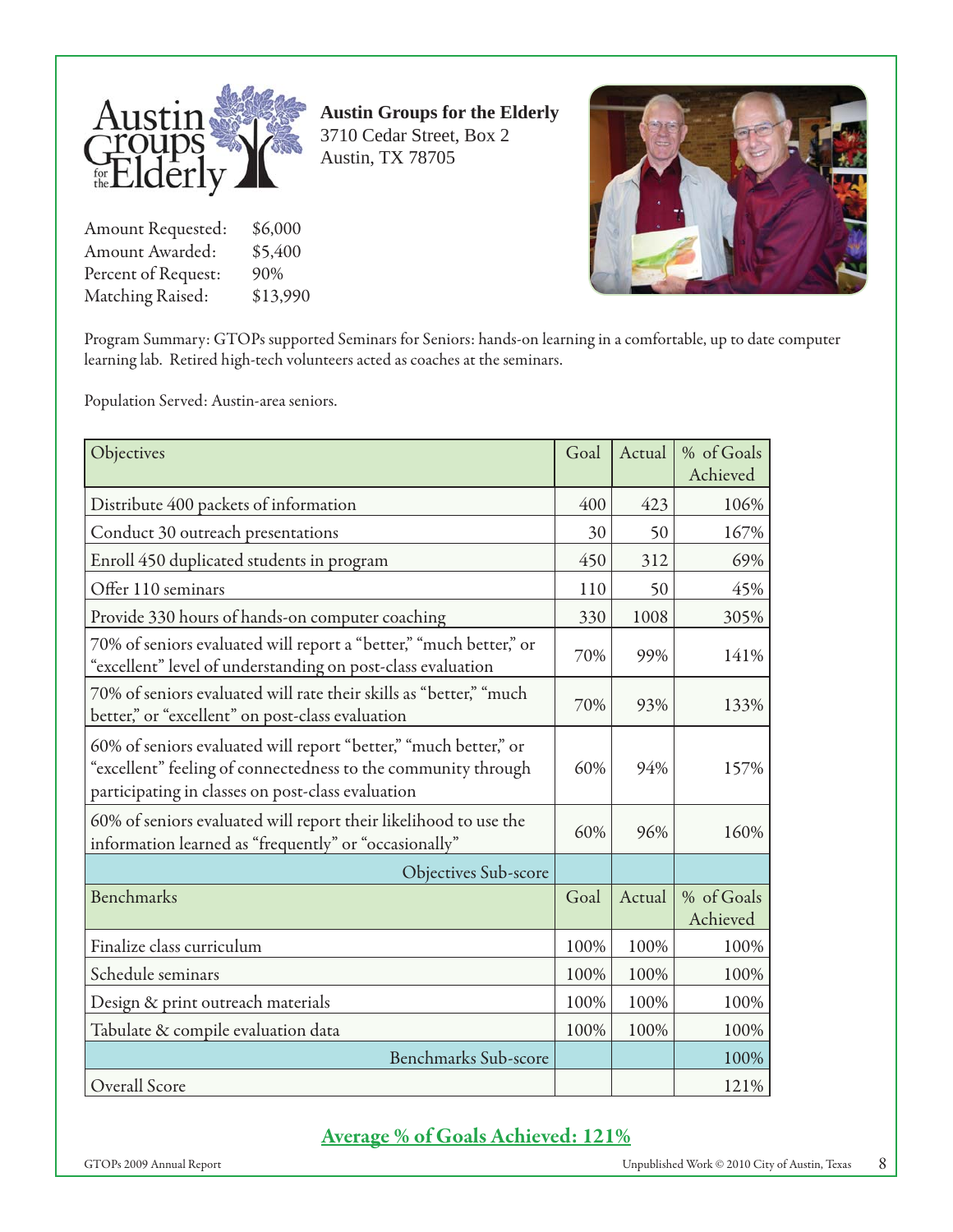

Amount Requested: \$6,000 Amount Awarded: \$5,400 Percent of Request: 90% Matching Raised: \$13,990 **Austin Groups for the Elderly** 3710 Cedar Street, Box 2 Austin, TX 78705



Program Summary: GTOPs supported Seminars for Seniors: hands-on learning in a comfortable, up to date computer learning lab. Retired high-tech volunteers acted as coaches at the seminars.

Population Served: Austin-area seniors.

| Objectives                                                                                                                                                                             | Goal | Actual | % of Goals             |
|----------------------------------------------------------------------------------------------------------------------------------------------------------------------------------------|------|--------|------------------------|
|                                                                                                                                                                                        |      |        | Achieved               |
| Distribute 400 packets of information                                                                                                                                                  | 400  | 423    | 106%                   |
| Conduct 30 outreach presentations                                                                                                                                                      | 30   | 50     | 167%                   |
| Enroll 450 duplicated students in program                                                                                                                                              | 450  | 312    | 69%                    |
| Offer 110 seminars                                                                                                                                                                     | 110  | 50     | 45%                    |
| Provide 330 hours of hands-on computer coaching                                                                                                                                        | 330  | 1008   | 305%                   |
| 70% of seniors evaluated will report a "better," "much better," or<br>"excellent" level of understanding on post-class evaluation                                                      | 70%  | 99%    | 141%                   |
| 70% of seniors evaluated will rate their skills as "better," "much<br>better," or "excellent" on post-class evaluation                                                                 | 70%  | 93%    | 133%                   |
| 60% of seniors evaluated will report "better," "much better," or<br>"excellent" feeling of connectedness to the community through<br>participating in classes on post-class evaluation | 60%  | 94%    | 157%                   |
| 60% of seniors evaluated will report their likelihood to use the<br>information learned as "frequently" or "occasionally"                                                              | 60%  | 96%    | 160%                   |
| Objectives Sub-score                                                                                                                                                                   |      |        |                        |
| <b>Benchmarks</b>                                                                                                                                                                      | Goal | Actual | % of Goals<br>Achieved |
| Finalize class curriculum                                                                                                                                                              | 100% | 100%   | 100%                   |
| Schedule seminars                                                                                                                                                                      | 100% | 100%   | 100%                   |
| Design & print outreach materials                                                                                                                                                      | 100% | 100%   | 100%                   |
| Tabulate & compile evaluation data                                                                                                                                                     | 100% | 100%   | 100%                   |
| <b>Benchmarks Sub-score</b>                                                                                                                                                            |      |        | 100%                   |
| Overall Score                                                                                                                                                                          |      |        | 121%                   |

#### **Average % of Goals Achieved: 121%**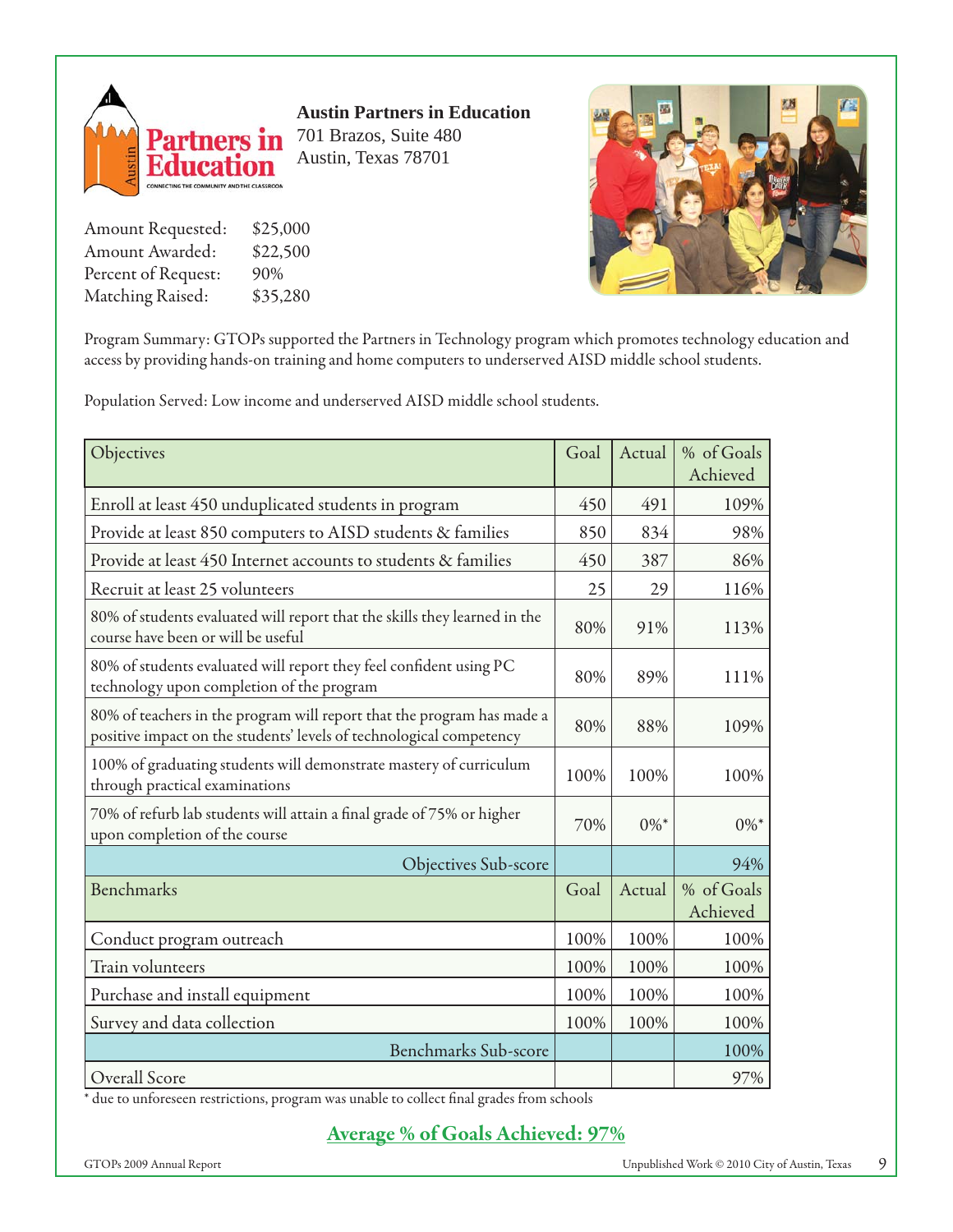

**Austin Partners in Education** 701 Brazos, Suite 480 Austin, Texas 78701

Amount Requested: \$25,000 Amount Awarded: \$22,500 Percent of Request: 90% Matching Raised: \$35,280



Program Summary: GTOPs supported the Partners in Technology program which promotes technology education and access by providing hands-on training and home computers to underserved AISD middle school students.

Population Served: Low income and underserved AISD middle school students.

| Objectives                                                                                                                                    | Goal | Actual  | % of Goals<br>Achieved |
|-----------------------------------------------------------------------------------------------------------------------------------------------|------|---------|------------------------|
| Enroll at least 450 unduplicated students in program                                                                                          | 450  | 491     | 109%                   |
| Provide at least 850 computers to AISD students & families                                                                                    | 850  | 834     | 98%                    |
| Provide at least 450 Internet accounts to students & families                                                                                 | 450  | 387     | 86%                    |
| Recruit at least 25 volunteers                                                                                                                | 25   | 29      | 116%                   |
| 80% of students evaluated will report that the skills they learned in the<br>course have been or will be useful                               | 80%  | 91%     | 113%                   |
| 80% of students evaluated will report they feel confident using PC<br>technology upon completion of the program                               | 80%  | 89%     | 111%                   |
| 80% of teachers in the program will report that the program has made a<br>positive impact on the students' levels of technological competency | 80%  | 88%     | 109%                   |
| 100% of graduating students will demonstrate mastery of curriculum<br>through practical examinations                                          | 100% | 100%    | 100%                   |
| 70% of refurb lab students will attain a final grade of 75% or higher<br>upon completion of the course                                        | 70%  | $0\%$ * | $0\%$ *                |
| Objectives Sub-score                                                                                                                          |      |         | 94%                    |
| <b>Benchmarks</b>                                                                                                                             | Goal | Actual  | % of Goals<br>Achieved |
| Conduct program outreach                                                                                                                      | 100% | 100%    | 100%                   |
| Train volunteers                                                                                                                              | 100% | 100%    | 100%                   |
| Purchase and install equipment                                                                                                                | 100% | 100%    | 100%                   |
| Survey and data collection                                                                                                                    | 100% | 100%    | 100%                   |
| <b>Benchmarks Sub-score</b>                                                                                                                   |      |         | 100%                   |
| Overall Score                                                                                                                                 |      |         | 97%                    |

\* due to unforeseen restrictions, program was unable to collect final grades from schools

**Average % of Goals Achieved: 97%**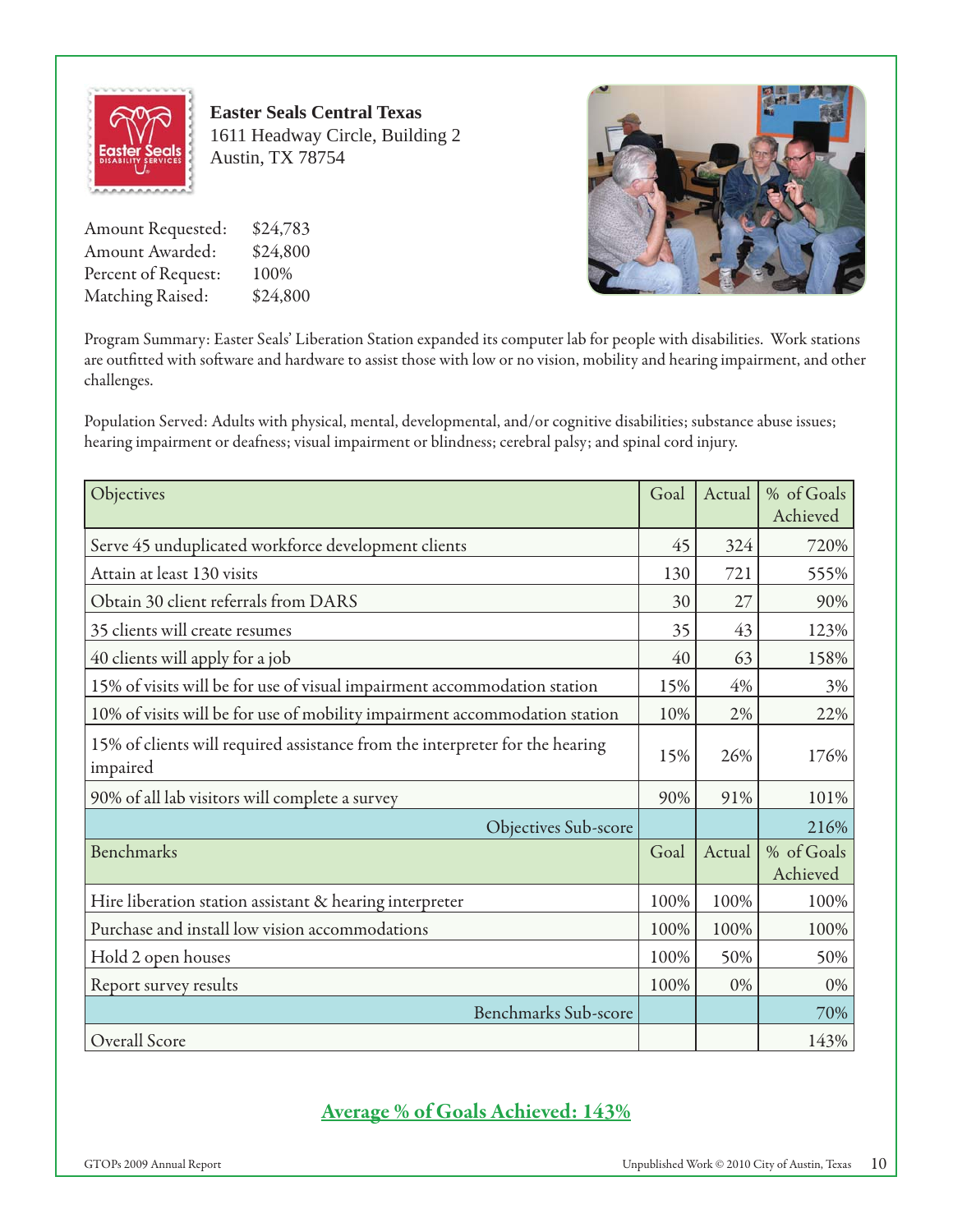

**Easter Seals Central Texas** 1611 Headway Circle, Building 2 Austin, TX 78754

Amount Requested: \$24,783 Amount Awarded: \$24,800 Percent of Request: 100% Matching Raised: \$24,800



Program Summary: Easter Seals' Liberation Station expanded its computer lab for people with disabilities. Work stations are outfitted with software and hardware to assist those with low or no vision, mobility and hearing impairment, and other challenges.

Population Served: Adults with physical, mental, developmental, and/or cognitive disabilities; substance abuse issues; hearing impairment or deafness; visual impairment or blindness; cerebral palsy; and spinal cord injury.

| Objectives                                                                               | Goal | Actual | % of Goals<br>Achieved |
|------------------------------------------------------------------------------------------|------|--------|------------------------|
| Serve 45 unduplicated workforce development clients                                      | 45   | 324    | 720%                   |
| Attain at least 130 visits                                                               | 130  | 721    | 555%                   |
| Obtain 30 client referrals from DARS                                                     | 30   | 27     | 90%                    |
| 35 clients will create resumes                                                           | 35   | 43     | 123%                   |
| 40 clients will apply for a job                                                          | 40   | 63     | 158%                   |
| 15% of visits will be for use of visual impairment accommodation station                 | 15%  | 4%     | 3%                     |
| 10% of visits will be for use of mobility impairment accommodation station               | 10%  | 2%     | 22%                    |
| 15% of clients will required assistance from the interpreter for the hearing<br>impaired | 15%  | 26%    | 176%                   |
| 90% of all lab visitors will complete a survey                                           | 90%  | 91%    | 101%                   |
| <b>Objectives Sub-score</b>                                                              |      |        | 216%                   |
| <b>Benchmarks</b>                                                                        | Goal | Actual | % of Goals<br>Achieved |
| Hire liberation station assistant & hearing interpreter                                  | 100% | 100%   | 100%                   |
| Purchase and install low vision accommodations                                           | 100% | 100%   | 100%                   |
| Hold 2 open houses                                                                       | 100% | 50%    | 50%                    |
| Report survey results                                                                    | 100% | 0%     | 0%                     |
| <b>Benchmarks Sub-score</b>                                                              |      |        | 70%                    |
| Overall Score                                                                            |      |        | 143%                   |

# **Average % of Goals Achieved: 143%**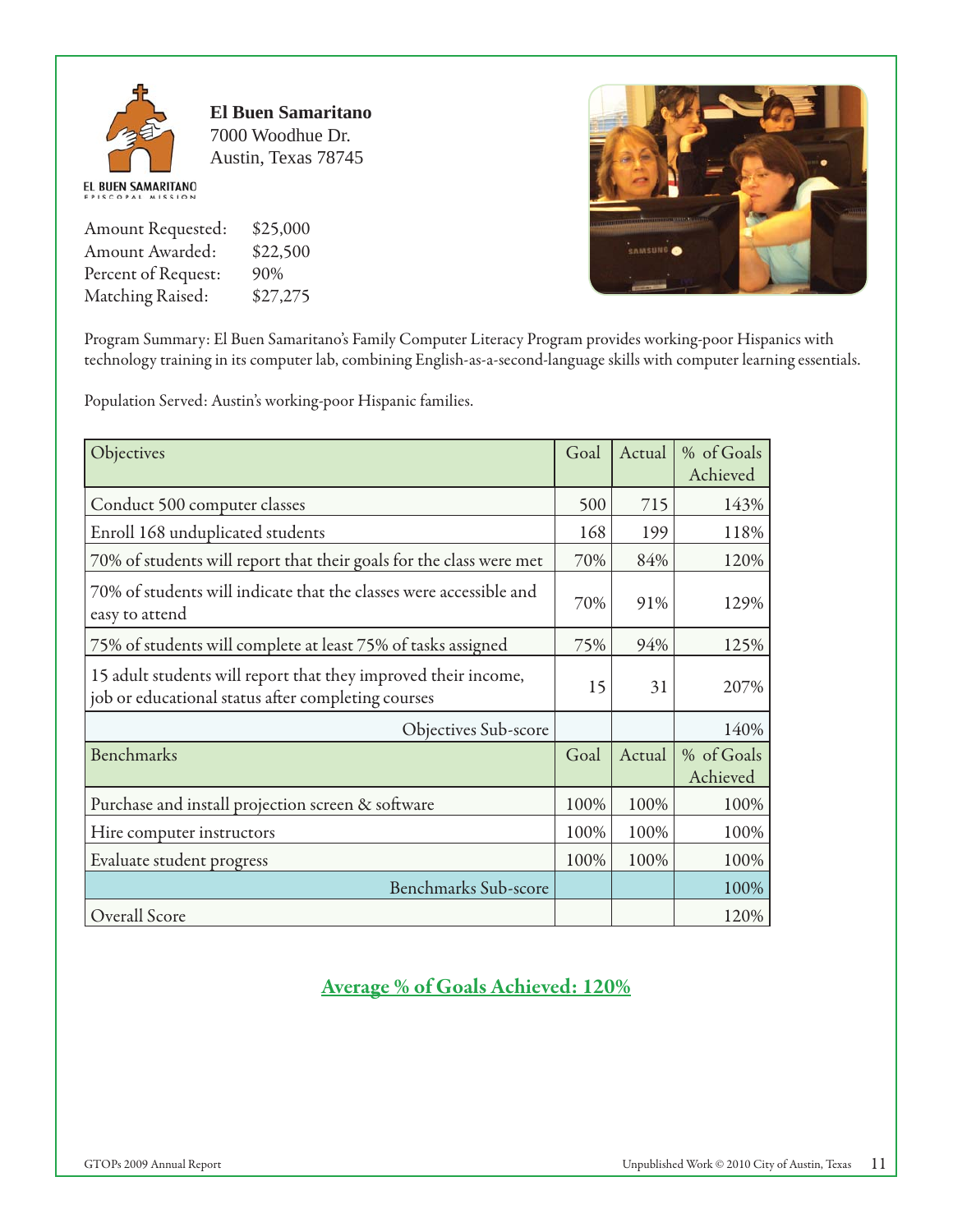

**El Buen Samaritano** 7000 Woodhue Dr. Austin, Texas 78745

Amount Requested: \$25,000 Amount Awarded: \$22,500 Percent of Request: 90% Matching Raised: \$27,275



Program Summary: El Buen Samaritano's Family Computer Literacy Program provides working-poor Hispanics with technology training in its computer lab, combining English-as-a-second-language skills with computer learning essentials.

Population Served: Austin's working-poor Hispanic families.

| Objectives                                                                                                           | Goal | Actual | % of Goals<br>Achieved |
|----------------------------------------------------------------------------------------------------------------------|------|--------|------------------------|
| Conduct 500 computer classes                                                                                         | 500  | 715    | 143%                   |
| Enroll 168 unduplicated students                                                                                     | 168  | 199    | 118%                   |
| 70% of students will report that their goals for the class were met                                                  | 70%  | 84%    | 120%                   |
| 70% of students will indicate that the classes were accessible and<br>easy to attend                                 | 70%  | 91%    | 129%                   |
| 75% of students will complete at least 75% of tasks assigned                                                         | 75%  | 94%    | 125%                   |
| 15 adult students will report that they improved their income,<br>job or educational status after completing courses | 15   | 31     | 207%                   |
| Objectives Sub-score                                                                                                 |      |        | 140%                   |
| Benchmarks                                                                                                           | Goal | Actual | % of Goals<br>Achieved |
| Purchase and install projection screen & software                                                                    | 100% | 100%   | 100%                   |
| Hire computer instructors                                                                                            | 100% | 100%   | 100%                   |
| Evaluate student progress                                                                                            | 100% | 100%   | 100%                   |
| <b>Benchmarks Sub-score</b>                                                                                          |      |        | 100%                   |
| Overall Score                                                                                                        |      |        | 120%                   |

**Average % of Goals Achieved: 120%**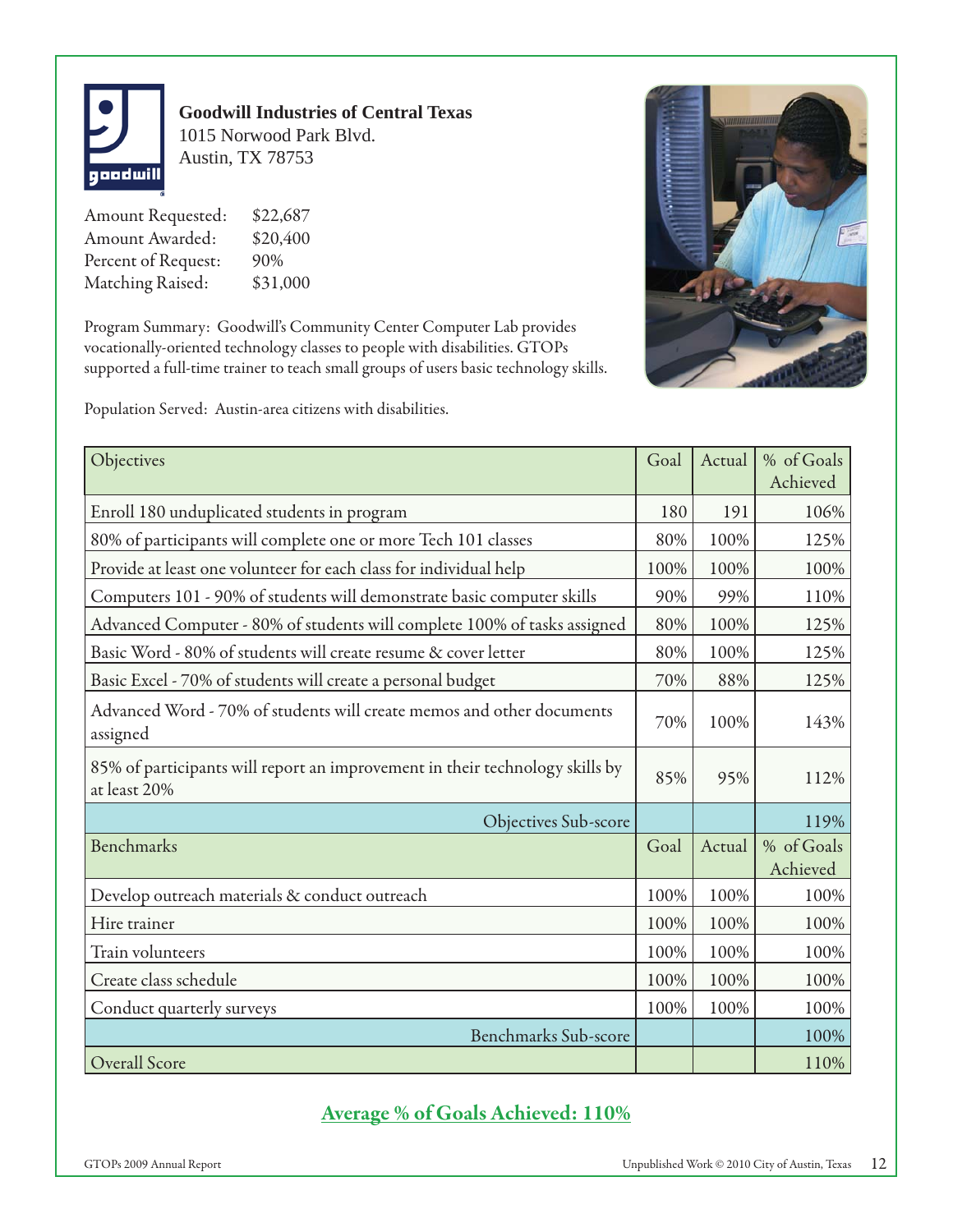

## **Goodwill Industries of Central Texas** 1015 Norwood Park Blvd. Austin, TX 78753

Amount Requested: \$22,687 Amount Awarded: \$20,400 Percent of Request: 90% Matching Raised: \$31,000

Program Summary: Goodwill's Community Center Computer Lab provides vocationally-oriented technology classes to people with disabilities. GTOPs supported a full-time trainer to teach small groups of users basic technology skills.



Population Served: Austin-area citizens with disabilities.

| Objectives                                                                                   | Goal | Actual | % of Goals             |
|----------------------------------------------------------------------------------------------|------|--------|------------------------|
|                                                                                              |      |        | Achieved               |
| Enroll 180 unduplicated students in program                                                  | 180  | 191    | 106%                   |
| 80% of participants will complete one or more Tech 101 classes                               | 80%  | 100%   | 125%                   |
| Provide at least one volunteer for each class for individual help                            | 100% | 100%   | 100%                   |
| Computers 101 - 90% of students will demonstrate basic computer skills                       | 90%  | 99%    | 110%                   |
| Advanced Computer - 80% of students will complete 100% of tasks assigned                     | 80%  | 100%   | 125%                   |
| Basic Word - 80% of students will create resume & cover letter                               | 80%  | 100%   | 125%                   |
| Basic Excel - 70% of students will create a personal budget                                  | 70%  | 88%    | 125%                   |
| Advanced Word - 70% of students will create memos and other documents<br>assigned            | 70%  | 100%   | 143%                   |
| 85% of participants will report an improvement in their technology skills by<br>at least 20% | 85%  | 95%    | 112%                   |
| Objectives Sub-score                                                                         |      |        | 119%                   |
| <b>Benchmarks</b>                                                                            | Goal | Actual | % of Goals<br>Achieved |
| Develop outreach materials & conduct outreach                                                | 100% | 100%   | 100%                   |
| Hire trainer                                                                                 | 100% | 100%   | 100%                   |
| Train volunteers                                                                             | 100% | 100%   | 100%                   |
| Create class schedule                                                                        | 100% | 100%   | 100%                   |
| Conduct quarterly surveys                                                                    | 100% | 100%   | 100%                   |
| <b>Benchmarks Sub-score</b>                                                                  |      |        | 100%                   |
| Overall Score                                                                                |      |        | 110%                   |

# **Average % of Goals Achieved: 110%**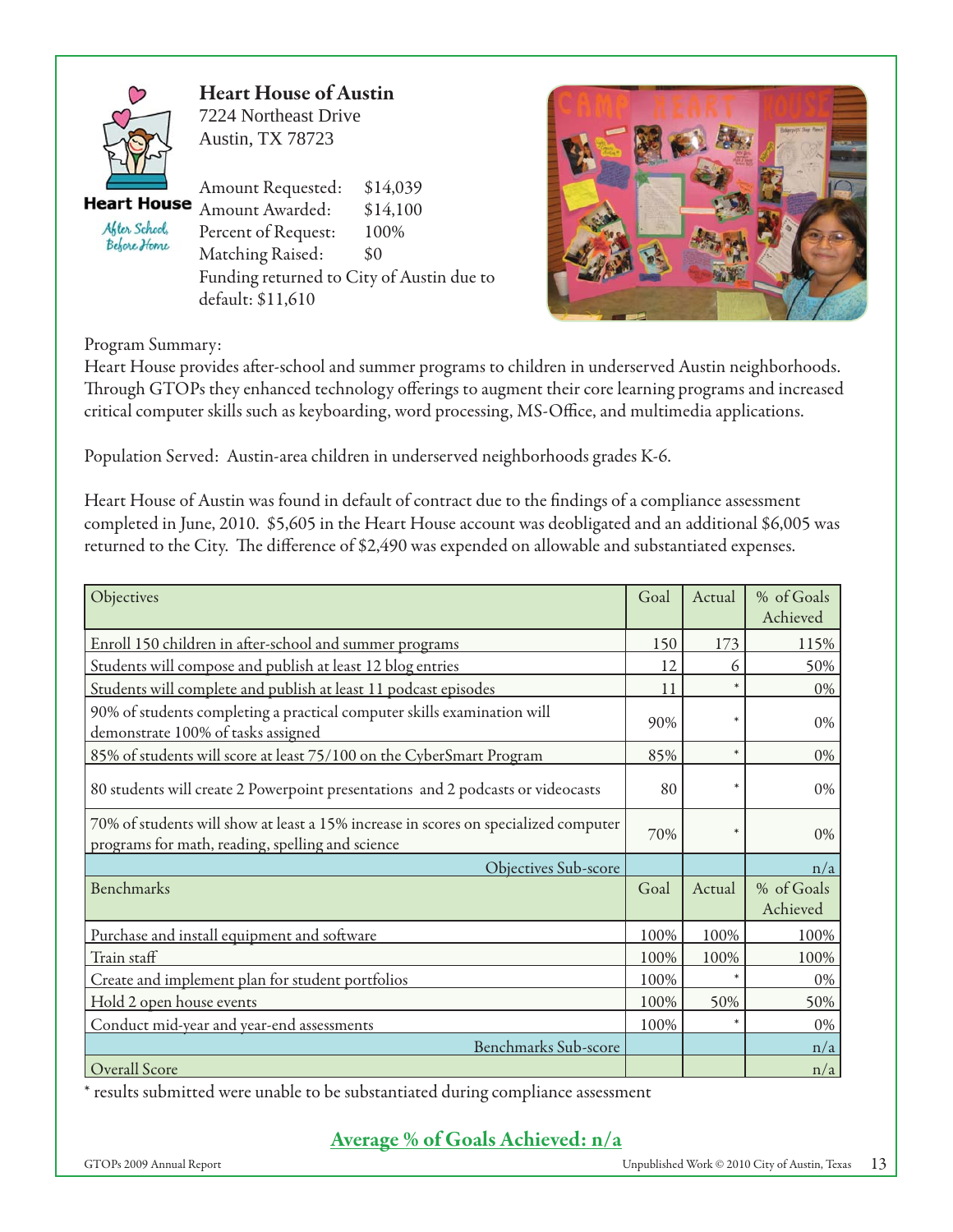

**Heart House of Austin** 7224 Northeast Drive Austin, TX 78723

**Heart House** After School, Before Home

Amount Requested: \$14,039 Amount Awarded: \$14,100 Percent of Request: 100% Matching Raised: \$0 Funding returned to City of Austin due to default: \$11,610



Program Summary:

Heart House provides after-school and summer programs to children in underserved Austin neighborhoods. Through GTOPs they enhanced technology offerings to augment their core learning programs and increased critical computer skills such as keyboarding, word processing, MS-Office, and multimedia applications.

Population Served: Austin-area children in underserved neighborhoods grades K-6.

Heart House of Austin was found in default of contract due to the findings of a compliance assessment completed in June, 2010. \$5,605 in the Heart House account was deobligated and an additional \$6,005 was returned to the City. The difference of \$2,490 was expended on allowable and substantiated expenses.

| Objectives                                                                                                                              | Goal | Actual | % of Goals<br>Achieved |
|-----------------------------------------------------------------------------------------------------------------------------------------|------|--------|------------------------|
| Enroll 150 children in after-school and summer programs                                                                                 | 150  | 173    | 115%                   |
| Students will compose and publish at least 12 blog entries                                                                              | 12   | 6      | 50%                    |
| Students will complete and publish at least 11 podcast episodes                                                                         | 11   | $\ast$ | 0%                     |
| 90% of students completing a practical computer skills examination will<br>demonstrate 100% of tasks assigned                           | 90%  | $\ast$ | $0\%$                  |
| 85% of students will score at least 75/100 on the CyberSmart Program                                                                    | 85%  | $\ast$ | 0%                     |
| 80 students will create 2 Powerpoint presentations and 2 podcasts or videocasts                                                         | 80   | $\ast$ | $0\%$                  |
| 70% of students will show at least a 15% increase in scores on specialized computer<br>programs for math, reading, spelling and science | 70%  | $\ast$ | 0%                     |
| Objectives Sub-score                                                                                                                    |      |        | n/a                    |
| <b>Benchmarks</b>                                                                                                                       | Goal | Actual | % of Goals<br>Achieved |
| Purchase and install equipment and software                                                                                             | 100% | 100%   | 100%                   |
| Train staff                                                                                                                             | 100% | 100%   | 100%                   |
| Create and implement plan for student portfolios                                                                                        | 100% |        | 0%                     |
| Hold 2 open house events                                                                                                                | 100% | 50%    | 50%                    |
| Conduct mid-year and year-end assessments                                                                                               | 100% | $\ast$ | 0%                     |
| <b>Benchmarks Sub-score</b>                                                                                                             |      |        | n/a                    |
| Overall Score                                                                                                                           |      |        | n/a                    |

\* results submitted were unable to be substantiated during compliance assessment

# **Average % of Goals Achieved: n/a**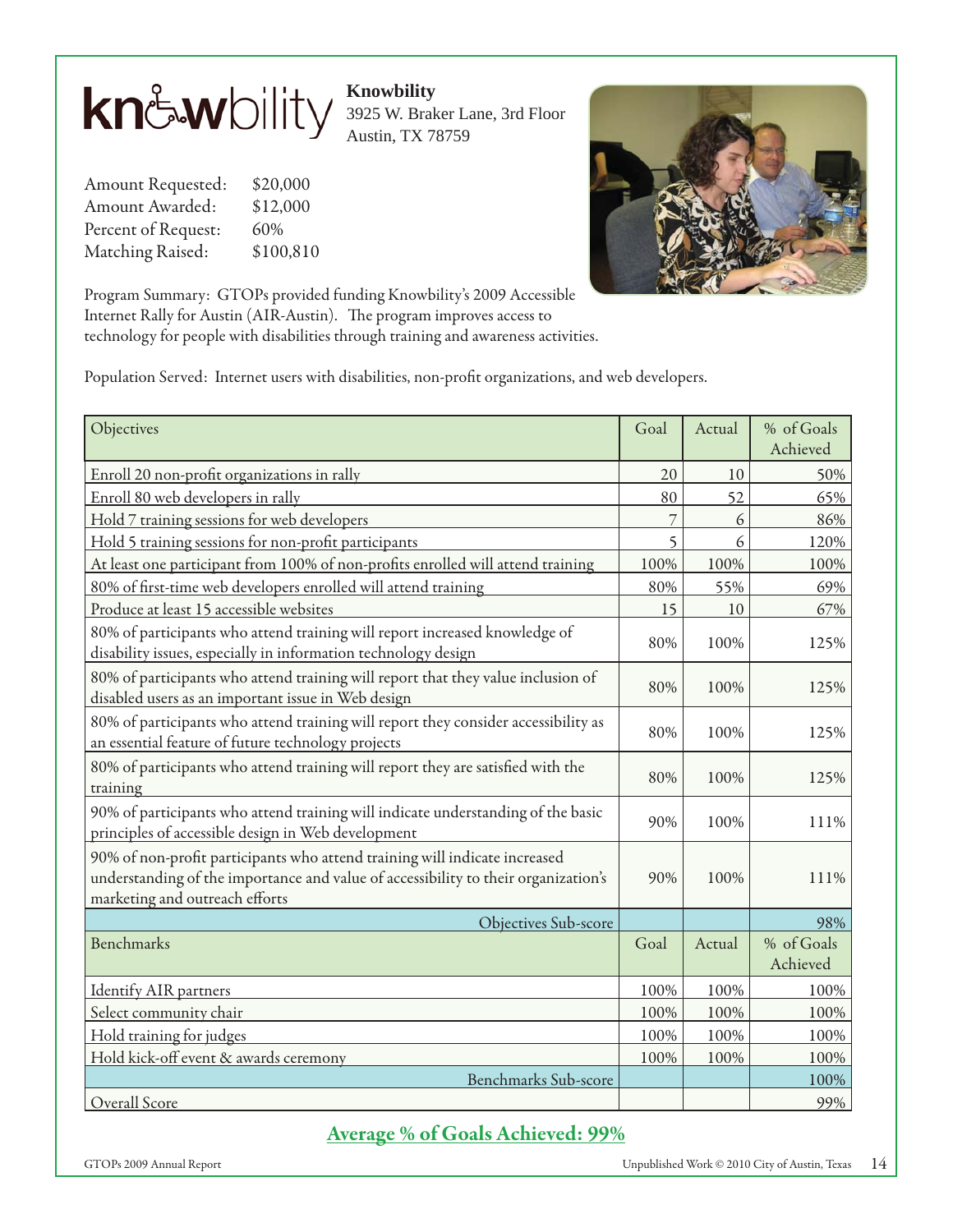

**Knowbility**

3925 W. Braker Lane, 3rd Floor Austin, TX 78759

Amount Requested: \$20,000 Amount Awarded: \$12,000 Percent of Request: 60% Matching Raised: \$100,810



Program Summary: GTOPs provided funding Knowbility's 2009 Accessible Internet Rally for Austin (AIR-Austin). The program improves access to technology for people with disabilities through training and awareness activities.

Population Served: Internet users with disabilities, non-profit organizations, and web developers.

| Objectives                                                                                                                                                                                         | Goal | Actual | % of Goals<br>Achieved |
|----------------------------------------------------------------------------------------------------------------------------------------------------------------------------------------------------|------|--------|------------------------|
| Enroll 20 non-profit organizations in rally                                                                                                                                                        | 20   | 10     | 50%                    |
| Enroll 80 web developers in rally                                                                                                                                                                  | 80   | 52     | 65%                    |
| Hold 7 training sessions for web developers                                                                                                                                                        |      | 6      | 86%                    |
| Hold 5 training sessions for non-profit participants                                                                                                                                               | 5    | 6      | 120%                   |
| At least one participant from 100% of non-profits enrolled will attend training                                                                                                                    | 100% | 100%   | 100%                   |
| 80% of first-time web developers enrolled will attend training                                                                                                                                     | 80%  | 55%    | 69%                    |
| Produce at least 15 accessible websites                                                                                                                                                            | 15   | 10     | 67%                    |
| 80% of participants who attend training will report increased knowledge of<br>disability issues, especially in information technology design                                                       | 80%  | 100%   | 125%                   |
| 80% of participants who attend training will report that they value inclusion of<br>disabled users as an important issue in Web design                                                             | 80%  | 100%   | 125%                   |
| 80% of participants who attend training will report they consider accessibility as<br>an essential feature of future technology projects                                                           | 80%  | 100%   | 125%                   |
| 80% of participants who attend training will report they are satisfied with the<br>training                                                                                                        | 80%  | 100%   | 125%                   |
| 90% of participants who attend training will indicate understanding of the basic<br>principles of accessible design in Web development                                                             | 90%  | 100%   | 111%                   |
| 90% of non-profit participants who attend training will indicate increased<br>understanding of the importance and value of accessibility to their organization's<br>marketing and outreach efforts | 90%  | 100%   | 111%                   |
| Objectives Sub-score                                                                                                                                                                               |      |        | 98%                    |
| Benchmarks                                                                                                                                                                                         | Goal | Actual | % of Goals<br>Achieved |
| <b>Identify AIR</b> partners                                                                                                                                                                       | 100% | 100%   | 100%                   |
| Select community chair                                                                                                                                                                             | 100% | 100%   | 100%                   |
| Hold training for judges                                                                                                                                                                           | 100% | 100%   | 100%                   |
| Hold kick-off event & awards ceremony                                                                                                                                                              | 100% | 100%   | 100%                   |
| Benchmarks Sub-score                                                                                                                                                                               |      |        | 100%                   |
| Overall Score                                                                                                                                                                                      |      |        | 99%                    |

## **Average % of Goals Achieved: 99%**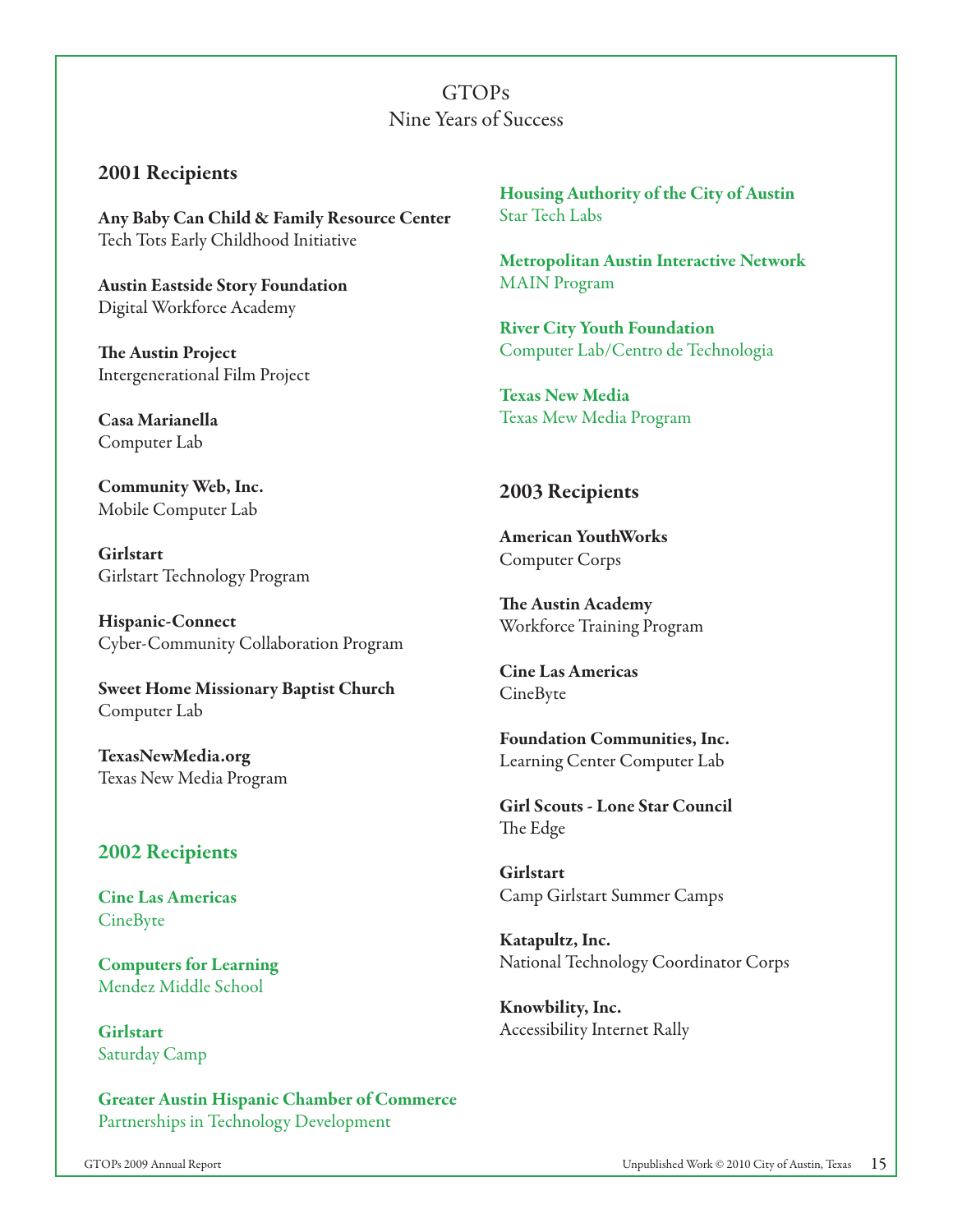GTOPs Nine Years of Success

#### **2001 Recipients**

**Any Baby Can Child & Family Resource Center**  Tech Tots Early Childhood Initiative

**Austin Eastside Story Foundation** Digital Workforce Academy

**The Austin Project** Intergenerational Film Project

**Casa Marianella** Computer Lab

**Community Web, Inc.** Mobile Computer Lab

**Girlstart** Girlstart Technology Program

**Hispanic-Connect** Cyber-Community Collaboration Program

**Sweet Home Missionary Baptist Church** Computer Lab

**TexasNewMedia.org** Texas New Media Program

#### **2002 Recipients**

**Cine Las Americas** CineByte

**Computers for Learning** Mendez Middle School

**Girlstart** Saturday Camp

**Greater Austin Hispanic Chamber of Commerce**  Partnerships in Technology Development

**Housing Authority of the City of Austin** Star Tech Labs

**Metropolitan Austin Interactive Network** MAIN Program

**River City Youth Foundation** Computer Lab/Centro de Technologia

**Texas New Media** Texas Mew Media Program

#### **2003 Recipients**

**American YouthWorks** Computer Corps

**The Austin Academy** Workforce Training Program

**Cine Las Americas** CineByte

**Foundation Communities, Inc.** Learning Center Computer Lab

**Girl Scouts - Lone Star Council** The Edge

**Girlstart** Camp Girlstart Summer Camps

**Katapultz, Inc.** National Technology Coordinator Corps

**Knowbility, Inc.** Accessibility Internet Rally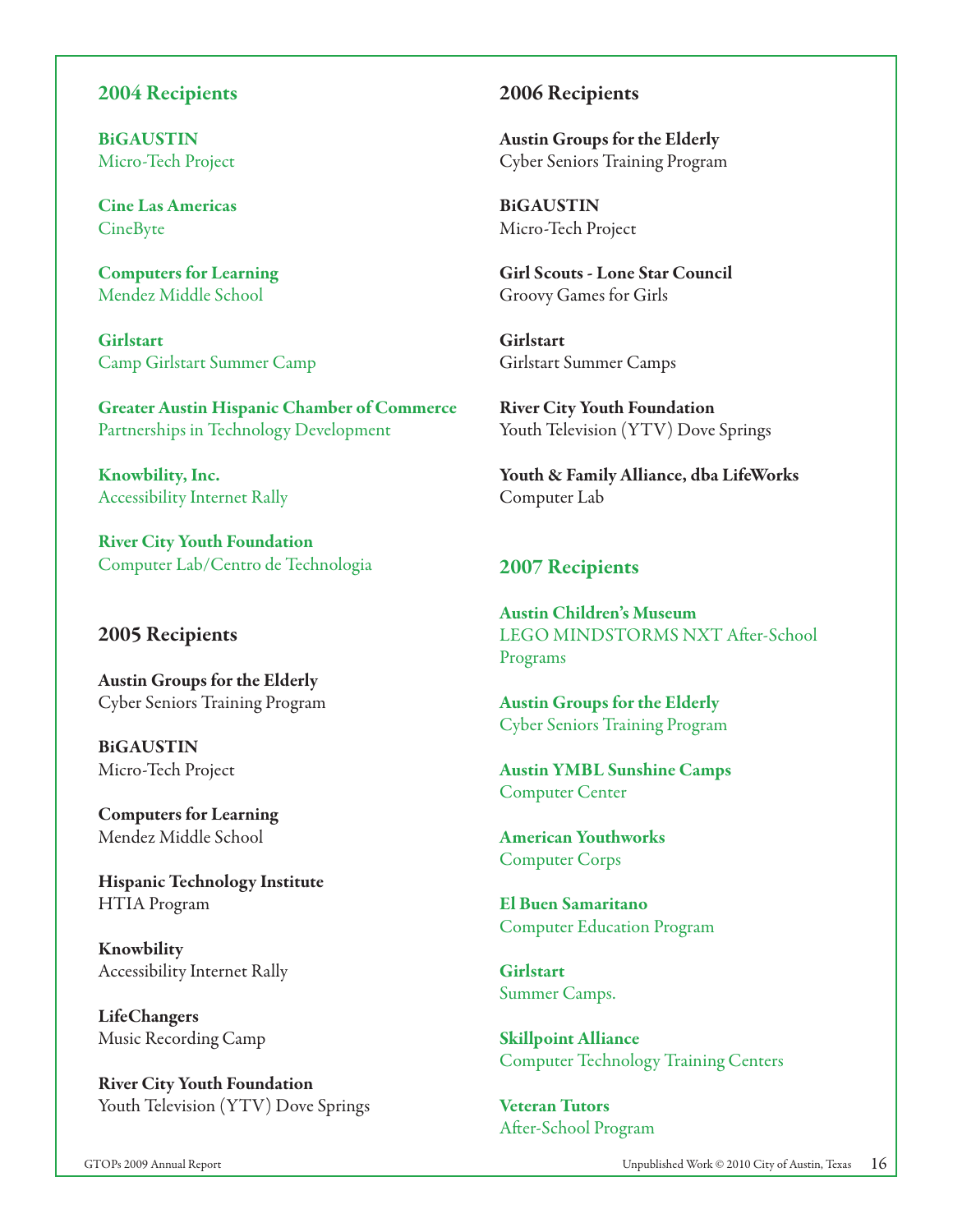#### **2004 Recipients**

**BiGAUSTIN** Micro-Tech Project

**Cine Las Americas** CineByte

**Computers for Learning** Mendez Middle School

**Girlstart** Camp Girlstart Summer Camp

**Greater Austin Hispanic Chamber of Commerce** Partnerships in Technology Development

**Knowbility, Inc.** Accessibility Internet Rally

**River City Youth Foundation** Computer Lab/Centro de Technologia

#### **2005 Recipients**

**Austin Groups for the Elderly** Cyber Seniors Training Program

**BiGAUSTIN** Micro-Tech Project

**Computers for Learning** Mendez Middle School

**Hispanic Technology Institute** HTIA Program

**Knowbility** Accessibility Internet Rally

**LifeChangers** Music Recording Camp

**River City Youth Foundation** Youth Television (YTV) Dove Springs

#### **2006 Recipients**

**Austin Groups for the Elderly** Cyber Seniors Training Program

**BiGAUSTIN** Micro-Tech Project

**Girl Scouts - Lone Star Council**  Groovy Games for Girls

**Girlstart** Girlstart Summer Camps

**River City Youth Foundation** Youth Television (YTV) Dove Springs

**Youth & Family Alliance, dba LifeWorks** Computer Lab

#### **2007 Recipients**

**Austin Children's Museum** LEGO MINDSTORMS NXT After-School Programs

**Austin Groups for the Elderly** Cyber Seniors Training Program

**Austin YMBL Sunshine Camps** Computer Center

**American Youthworks** Computer Corps

**El Buen Samaritano** Computer Education Program

**Girlstart** Summer Camps.

**Skillpoint Alliance** Computer Technology Training Centers

**Veteran Tutors** After-School Program

GTOPs 2009 Annual Report Unpublished Work © 2010 City of Austin, Texas 16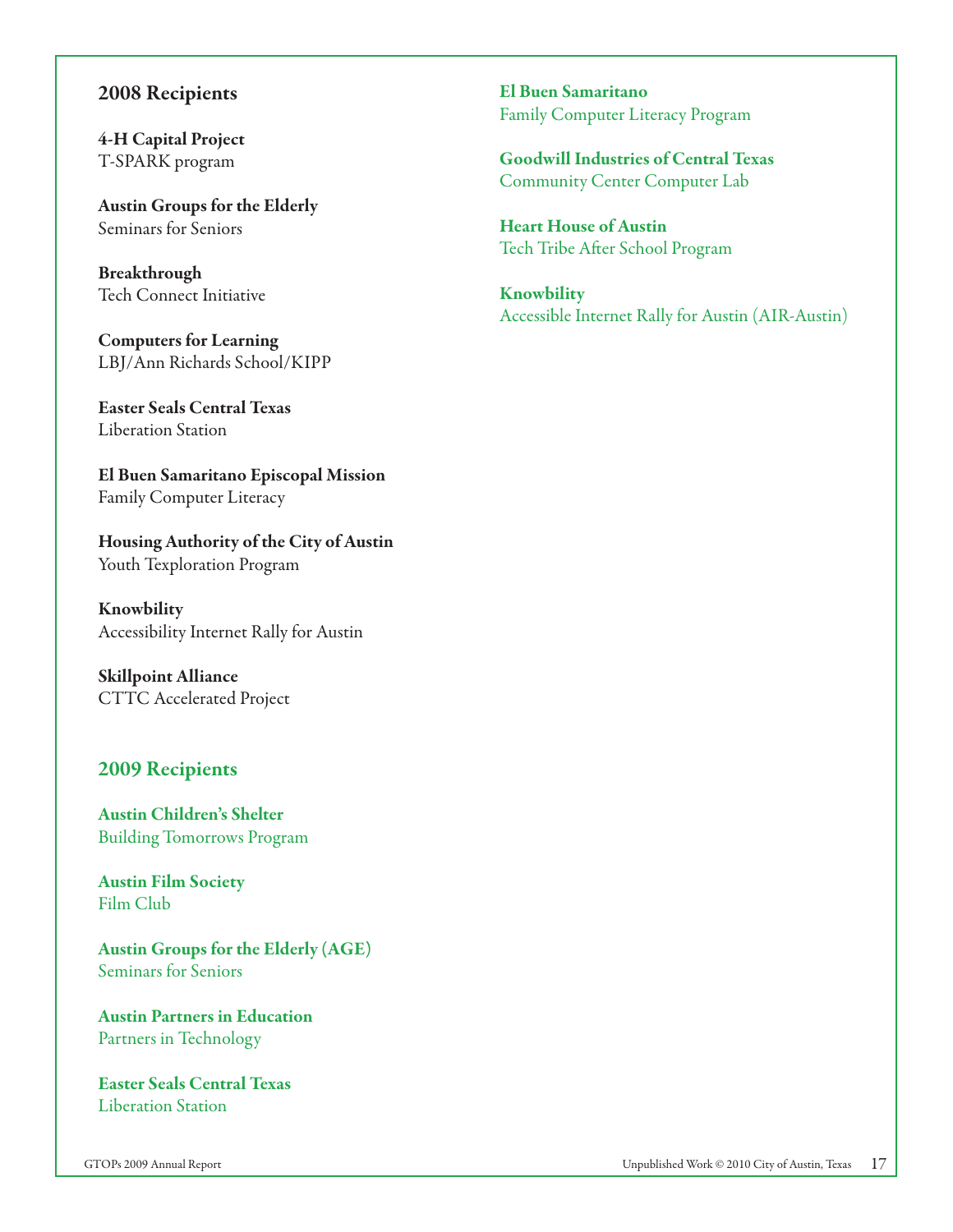#### **2008 Recipients**

**4-H Capital Project** T-SPARK program

**Austin Groups for the Elderly** Seminars for Seniors

**Breakthrough** Tech Connect Initiative

**Computers for Learning** LBJ/Ann Richards School/KIPP

**Easter Seals Central Texas** Liberation Station

**El Buen Samaritano Episcopal Mission** Family Computer Literacy

**Housing Authority of the City of Austin** Youth Texploration Program

**Knowbility** Accessibility Internet Rally for Austin

**Skillpoint Alliance** CTTC Accelerated Project

#### **2009 Recipients**

**Austin Children's Shelter** Building Tomorrows Program

**Austin Film Society** Film Club

**Austin Groups for the Elderly (AGE)** Seminars for Seniors

**Austin Partners in Education** Partners in Technology

**Easter Seals Central Texas** Liberation Station

**El Buen Samaritano** Family Computer Literacy Program

**Goodwill Industries of Central Texas** Community Center Computer Lab

**Heart House of Austin** Tech Tribe After School Program

**Knowbility** Accessible Internet Rally for Austin (AIR-Austin)